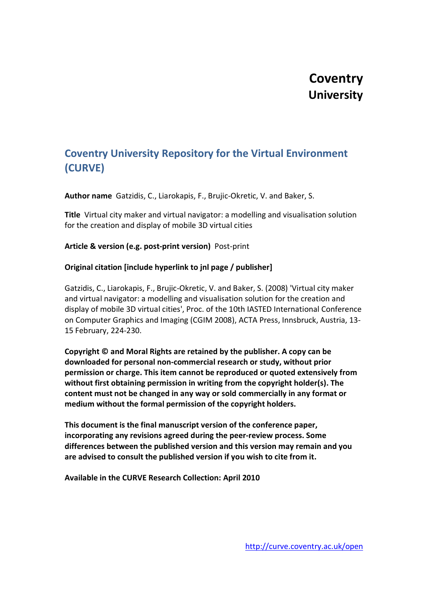# **Coventry University**

## **Coventry University Repository for the Virtual Environment (CURVE)**

**Author name** Gatzidis, C., Liarokapis, F., Brujic-Okretic, V. and Baker, S.

**Title** Virtual city maker and virtual navigator: a modelling and visualisation solution for the creation and display of mobile 3D virtual cities

**Article & version (e.g. post-print version)** Post-print

### **Original citation [include hyperlink to jnl page / publisher]**

Gatzidis, C., Liarokapis, F., Brujic-Okretic, V. and Baker, S. (2008) 'Virtual city maker and virtual navigator: a modelling and visualisation solution for the creation and display of mobile 3D virtual cities', Proc. of the 10th IASTED International Conference on Computer Graphics and Imaging (CGIM 2008), ACTA Press, Innsbruck, Austria, 13- 15 February, 224-230.

**Copyright © and Moral Rights are retained by the publisher. A copy can be downloaded for personal non-commercial research or study, without prior permission or charge. This item cannot be reproduced or quoted extensively from without first obtaining permission in writing from the copyright holder(s). The content must not be changed in any way or sold commercially in any format or medium without the formal permission of the copyright holders.**

**This document is the final manuscript version of the conference paper, incorporating any revisions agreed during the peer-review process. Some differences between the published version and this version may remain and you are advised to consult the published version if you wish to cite from it.**

**Available in the CURVE Research Collection: April 2010**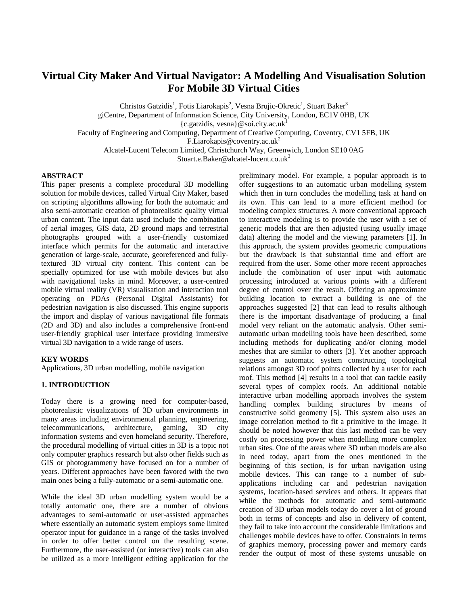## **Virtual City Maker And Virtual Navigator: A Modelling And Visualisation Solution For Mobile 3D Virtual Cities**

Christos Gatzidis<sup>1</sup>, Fotis Liarokapis<sup>2</sup>, Vesna Brujic-Okretic<sup>1</sup>, Stuart Baker<sup>3</sup> giCentre, Department of Information Science, City University, London, EC1V 0HB, UK  ${c.gatzidis, vesna} @ soi.city.ac.uk<sup>1</sup>$ Faculty of Engineering and Computing, Department of Creative Computing, Coventry, CV1 5FB, UK

F.Liarokapis@coventry.ac.uk2

Alcatel-Lucent Telecom Limited, Christchurch Way, Greenwich, London SE10 0AG

Stuart.e.Baker@alcatel-lucent.co.uk<sup>3</sup>

#### **ABSTRACT**

This paper presents a complete procedural 3D modelling solution for mobile devices, called Virtual City Maker, based on scripting algorithms allowing for both the automatic and also semi-automatic creation of photorealistic quality virtual urban content. The input data used include the combination of aerial images, GIS data, 2D ground maps and terrestrial photographs grouped with a user-friendly customized interface which permits for the automatic and interactive generation of large-scale, accurate, georeferenced and fullytextured 3D virtual city content. This content can be specially optimized for use with mobile devices but also with navigational tasks in mind. Moreover, a user-centred mobile virtual reality (VR) visualisation and interaction tool operating on PDAs (Personal Digital Assistants) for pedestrian navigation is also discussed. This engine supports the import and display of various navigational file formats (2D and 3D) and also includes a comprehensive front-end user-friendly graphical user interface providing immersive virtual 3D navigation to a wide range of users.

#### **KEY WORDS**

Applications, 3D urban modelling, mobile navigation

#### **1. INTRODUCTION**

Today there is a growing need for computer-based, photorealistic visualizations of 3D urban environments in many areas including environmental planning, engineering, telecommunications, architecture, gaming, 3D city information systems and even homeland security. Therefore, the procedural modelling of virtual cities in 3D is a topic not only computer graphics research but also other fields such as GIS or photogrammetry have focused on for a number of years. Different approaches have been favored with the two main ones being a fully-automatic or a semi-automatic one.

While the ideal 3D urban modelling system would be a totally automatic one, there are a number of obvious advantages to semi-automatic or user-assisted approaches where essentially an automatic system employs some limited operator input for guidance in a range of the tasks involved in order to offer better control on the resulting scene. Furthermore, the user-assisted (or interactive) tools can also be utilized as a more intelligent editing application for the preliminary model. For example, a popular approach is to offer suggestions to an automatic urban modelling system which then in turn concludes the modelling task at hand on its own. This can lead to a more efficient method for modeling complex structures. A more conventional approach to interactive modeling is to provide the user with a set of generic models that are then adjusted (using usually image data) altering the model and the viewing parameters [1]. In this approach, the system provides geometric computations but the drawback is that substantial time and effort are required from the user. Some other more recent approaches include the combination of user input with automatic processing introduced at various points with a different degree of control over the result. Offering an approximate building location to extract a building is one of the approaches suggested [2] that can lead to results although there is the important disadvantage of producing a final model very reliant on the automatic analysis. Other semiautomatic urban modelling tools have been described, some including methods for duplicating and/or cloning model meshes that are similar to others [3]. Yet another approach suggests an automatic system constructing topological relations amongst 3D roof points collected by a user for each roof. This method [4] results in a tool that can tackle easily several types of complex roofs. An additional notable interactive urban modelling approach involves the system handling complex building structures by means of constructive solid geometry [5]. This system also uses an image correlation method to fit a primitive to the image. It should be noted however that this last method can be very costly on processing power when modelling more complex urban sites. One of the areas where 3D urban models are also in need today, apart from the ones mentioned in the beginning of this section, is for urban navigation using mobile devices. This can range to a number of subapplications including car and pedestrian navigation systems, location-based services and others. It appears that while the methods for automatic and semi-automatic creation of 3D urban models today do cover a lot of ground both in terms of concepts and also in delivery of content, they fail to take into account the considerable limitations and challenges mobile devices have to offer. Constraints in terms of graphics memory, processing power and memory cards render the output of most of these systems unusable on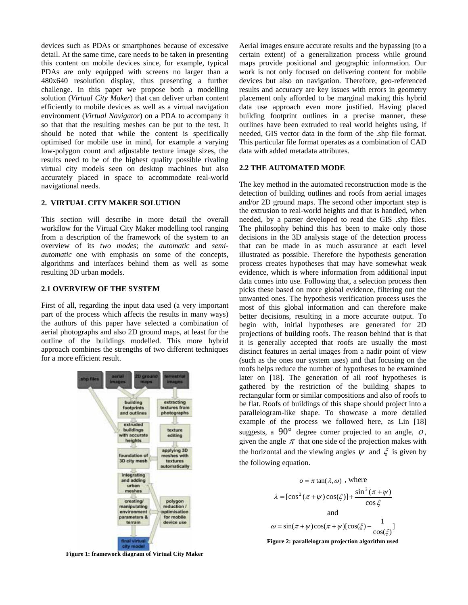devices such as PDAs or smartphones because of excessive detail. At the same time, care needs to be taken in presenting this content on mobile devices since, for example, typical PDAs are only equipped with screens no larger than a 480x640 resolution display, thus presenting a further challenge. In this paper we propose both a modelling solution (*Virtual City Maker*) that can deliver urban content efficiently to mobile devices as well as a virtual navigation environment (*Virtual Navigator*) on a PDA to accompany it so that that the resulting meshes can be put to the test. It should be noted that while the content is specifically optimised for mobile use in mind, for example a varying low-polygon count and adjustable texture image sizes, the results need to be of the highest quality possible rivaling virtual city models seen on desktop machines but also accurately placed in space to accommodate real-world navigational needs.

#### **2. VIRTUAL CITY MAKER SOLUTION**

This section will describe in more detail the overall workflow for the Virtual City Maker modelling tool ranging from a description of the framework of the system to an overview of its *two modes*; the *automatic* and *semiautomatic* one with emphasis on some of the concepts, algorithms and interfaces behind them as well as some resulting 3D urban models.

#### **2.1 OVERVIEW OF THE SYSTEM**

First of all, regarding the input data used (a very important part of the process which affects the results in many ways) the authors of this paper have selected a combination of aerial photographs and also 2D ground maps, at least for the outline of the buildings modelled. This more hybrid approach combines the strengths of two different techniques for a more efficient result.



**Figure 1: framework diagram of Virtual City Maker** 

Aerial images ensure accurate results and the bypassing (to a certain extent) of a generalization process while ground maps provide positional and geographic information. Our work is not only focused on delivering content for mobile devices but also on navigation. Therefore, geo-referenced results and accuracy are key issues with errors in geometry placement only afforded to be marginal making this hybrid data use approach even more justified. Having placed building footprint outlines in a precise manner, these outlines have been extruded to real world heights using, if needed, GIS vector data in the form of the .shp file format. This particular file format operates as a combination of CAD data with added metadata attributes.

#### **2.2 THE AUTOMATED MODE**

The key method in the automated reconstruction mode is the detection of building outlines and roofs from aerial images and/or 2D ground maps. The second other important step is the extrusion to real-world heights and that is handled, when needed, by a parser developed to read the GIS .shp files. The philosophy behind this has been to make only those decisions in the 3D analysis stage of the detection process that can be made in as much assurance at each level illustrated as possible. Therefore the hypothesis generation process creates hypotheses that may have somewhat weak evidence, which is where information from additional input data comes into use. Following that, a selection process then picks these based on more global evidence, filtering out the unwanted ones. The hypothesis verification process uses the most of this global information and can therefore make better decisions, resulting in a more accurate output. To begin with, initial hypotheses are generated for 2D projections of building roofs. The reason behind that is that it is generally accepted that roofs are usually the most distinct features in aerial images from a nadir point of view (such as the ones our system uses) and that focusing on the roofs helps reduce the number of hypotheses to be examined later on [18]. The generation of all roof hypotheses is gathered by the restriction of the building shapes to rectangular form or similar compositions and also of roofs to be flat. Roofs of buildings of this shape should project into a parallelogram-like shape. To showcase a more detailed example of the process we followed here, as Lin [18] suggests, a  $90^{\circ}$  degree corner projected to an angle,  $\dot{\theta}$ , given the angle  $\pi$  that one side of the projection makes with the horizontal and the viewing angles  $\psi$  and  $\xi$  is given by the following equation.



**Figure 2: parallelogram projection algorithm used**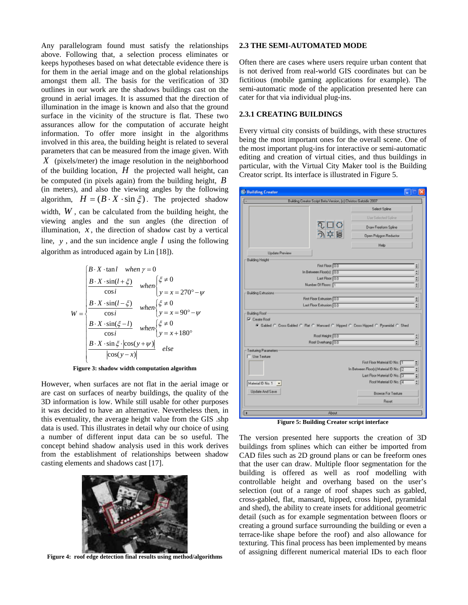Any parallelogram found must satisfy the relationships above. Following that, a selection process eliminates or keeps hypotheses based on what detectable evidence there is for them in the aerial image and on the global relationships amongst them all. The basis for the verification of 3D outlines in our work are the shadows buildings cast on the ground in aerial images. It is assumed that the direction of illumination in the image is known and also that the ground surface in the vicinity of the structure is flat. These two assurances allow for the computation of accurate height information. To offer more insight in the algorithms involved in this area, the building height is related to several parameters that can be measured from the image given. With *X* (pixels/meter) the image resolution in the neighborhood of the building location,  $H$  the projected wall height, can be computed (in pixels again) from the building height, *B* (in meters), and also the viewing angles by the following algorithm,  $H = (B \cdot X \cdot \sin \xi)$ . The projected shadow width,  $W$ , can be calculated from the building height, the viewing angles and the sun angles (the direction of illumination,  $x$ , the direction of shadow cast by a vertical line,  $y$ , and the sun incidence angle  $l$  using the following algorithm as introduced again by Lin [18]).

$$
W = \begin{cases} B \cdot X \cdot \tan l & when \gamma = 0 \\ \frac{B \cdot X \cdot \sin(l + \xi)}{\cos i} & when \begin{cases} \xi \neq 0 \\ y = x = 270^{\circ} - \psi \end{cases} \\ W = \begin{cases} \frac{B \cdot X \cdot \sin(l - \xi)}{\cos i} & when \begin{cases} \xi \neq 0 \\ y = x = 90^{\circ} - \psi \end{cases} \\ \frac{B \cdot X \cdot \sin(\xi - l)}{\cos i} & when \begin{cases} \xi \neq 0 \\ y = x + 180^{\circ} \end{cases} \\ \frac{B \cdot X \cdot \sin \xi \cdot |\cos(y + \psi)|}{|\cos(y - x)|} & else \end{cases} \end{cases}
$$

**Figure 3: shadow width computation algorithm**

However, when surfaces are not flat in the aerial image or are cast on surfaces of nearby buildings, the quality of the 3D information is low. While still usable for other purposes it was decided to have an alternative. Nevertheless then, in this eventuality, the average height value from the GIS .shp data is used. This illustrates in detail why our choice of using a number of different input data can be so useful. The concept behind shadow analysis used in this work derives from the establishment of relationships between shadow casting elements and shadows cast [17].



**Figure 4: roof edge detection final results using method/algorithms** 

#### **2.3 THE SEMI-AUTOMATED MODE**

Often there are cases where users require urban content that is not derived from real-world GIS coordinates but can be fictitious (mobile gaming applications for example). The semi-automatic mode of the application presented here can cater for that via individual plug-ins.

#### **2.3.1 CREATING BUILDINGS**

Every virtual city consists of buildings, with these structures being the most important ones for the overall scene. One of the most important plug-ins for interactive or semi-automatic editing and creation of virtual cities, and thus buildings in particular, with the Virtual City Maker tool is the Building Creator script. Its interface is illustrated in Figure 5.

| <b>S</b> Building Creator                     |                                                                  |                                                                                     |
|-----------------------------------------------|------------------------------------------------------------------|-------------------------------------------------------------------------------------|
|                                               | Building Creator Script Beta Version, (c) Christos Gatzidis 2007 |                                                                                     |
|                                               |                                                                  | Select Spline                                                                       |
|                                               |                                                                  | Use Selected Spline                                                                 |
|                                               | $\frac{10}{100}$                                                 | Draw Freeform Spline                                                                |
|                                               |                                                                  | Open Polygon Reductor                                                               |
|                                               |                                                                  | Help                                                                                |
| <b>Update Preview</b>                         |                                                                  |                                                                                     |
| <b>Building Height</b>                        |                                                                  |                                                                                     |
|                                               | First Floor: 0.0                                                 | 휘                                                                                   |
|                                               | In Between Floods): 00                                           | E                                                                                   |
|                                               | Last Floor: 00                                                   | ž.                                                                                  |
|                                               | Number Of Floors: T                                              | ÷                                                                                   |
| <b>Building Extrusions</b>                    |                                                                  |                                                                                     |
|                                               | First Floor Extrusion: 0.0                                       | 회                                                                                   |
|                                               | Last Floor Extrusion: 0.0                                        | 틟                                                                                   |
| <b>Building Roof</b>                          |                                                                  |                                                                                     |
| V CMMA Roof                                   |                                                                  | F Gabled C Cross Gabled C Flat C Mansard C Hipped C Cross Hipped C Pyramidal C Shed |
|                                               | Roof Height 0.0                                                  | $\ddot{ }$                                                                          |
|                                               | Roof Overhang: 00                                                | 회                                                                                   |
| - Texturing Parameters                        |                                                                  |                                                                                     |
| Use Texture                                   |                                                                  |                                                                                     |
|                                               |                                                                  | First Floor Material ID No.: T<br>٥                                                 |
|                                               |                                                                  | In Between Floor[s] Material ID No.: 2<br>÷                                         |
|                                               |                                                                  | Last Floor Material ID No.: 3<br>۵                                                  |
| Material ID No. 1<br>$\overline{\phantom{a}}$ |                                                                  | Roof Material ID No.: 4<br>÷.                                                       |
| Update And Save                               |                                                                  | <b>Browse For Texture</b>                                                           |
|                                               |                                                                  | <b>Reset</b>                                                                        |
| ٠                                             | About                                                            |                                                                                     |
| T.                                            | 21.32<br>e. n.,<br>⌒.                                            | ، ،<br>£                                                                            |

**Figure 5: Building Creator script interface** 

The version presented here supports the creation of 3D buildings from splines which can either be imported from CAD files such as 2D ground plans or can be freeform ones that the user can draw. Multiple floor segmentation for the building is offered as well as roof modelling with controllable height and overhang based on the user's selection (out of a range of roof shapes such as gabled, cross-gabled, flat, mansard, hipped, cross hiped, pyramidal and shed), the ability to create insets for additional geometric detail (such as for example segmentation between floors or creating a ground surface surrounding the building or even a terrace-like shape before the roof) and also allowance for texturing. This final process has been implemented by means of assigning different numerical material IDs to each floor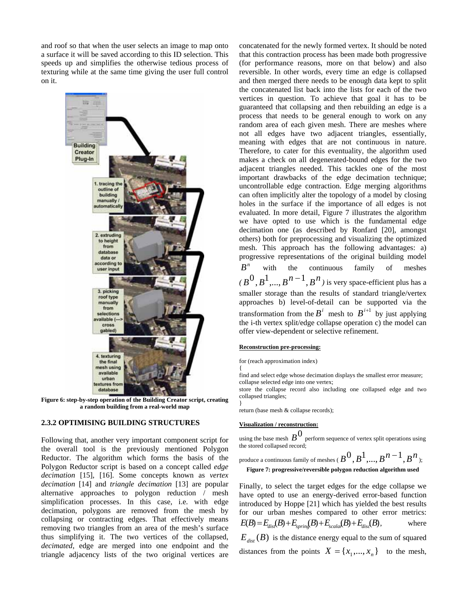and roof so that when the user selects an image to map onto a surface it will be saved according to this ID selection. This speeds up and simplifies the otherwise tedious process of texturing while at the same time giving the user full control on it.



**Figure 6: step-by-step operation of the Building Creator script, creating a random building from a real-world map** 

#### **2.3.2 OPTIMISING BUILDING STRUCTURES**

Following that, another very important component script for the overall tool is the previously mentioned Polygon Reductor. The algorithm which forms the basis of the Polygon Reductor script is based on a concept called *edge decimation* [15], [16]. Some concepts known as *vertex decimation* [14] and *triangle decimation* [13] are popular alternative approaches to polygon reduction / mesh simplification processes. In this case, i.e. with edge decimation, polygons are removed from the mesh by collapsing or contracting edges. That effectively means removing two triangles from an area of the mesh's surface thus simplifying it. The two vertices of the collapsed, *decimated*, edge are merged into one endpoint and the triangle adjacency lists of the two original vertices are

concatenated for the newly formed vertex. It should be noted that this contraction process has been made both progressive (for performance reasons, more on that below) and also reversible. In other words, every time an edge is collapsed and then merged there needs to be enough data kept to split the concatenated list back into the lists for each of the two vertices in question. To achieve that goal it has to be guaranteed that collapsing and then rebuilding an edge is a process that needs to be general enough to work on any random area of each given mesh. There are meshes where not all edges have two adjacent triangles, essentially, meaning with edges that are not continuous in nature. Therefore, to cater for this eventuality, the algorithm used makes a check on all degenerated-bound edges for the two adjacent triangles needed. This tackles one of the most important drawbacks of the edge decimation technique; uncontrollable edge contraction. Edge merging algorithms can often implicitly alter the topology of a model by closing holes in the surface if the importance of all edges is not evaluated. In more detail, Figure 7 illustrates the algorithm we have opted to use which is the fundamental edge decimation one (as described by Ronfard [20], amongst others) both for preprocessing and visualizing the optimized mesh. This approach has the following advantages: a) progressive representations of the original building model  $B<sup>n</sup>$  with the continuous family of meshes  $(B^0, B^1, \ldots, B^{n-1}, B^n)$  is very space-efficient plus has a smaller storage than the results of standard triangle/vertex approaches b) level-of-detail can be supported via the transformation from the  $B^i$  mesh to  $B^{i+1}$  by just applying the i-th vertex split/edge collapse operation c) the model can offer view-dependent or selective refinement.

#### **Reconstruction pre-processing:**

for (reach approximation index)

{ find and select edge whose decimation displays the smallest error measure; collapse selected edge into one vertex;

store the collapse record also including one collapsed edge and two collapsed triangles;

return (base mesh & collapse records);

#### **Visualization / reconstruction:**

}

using the base mesh  $B^0$  perform sequence of vertex split operations using the stored collapsed record;

produce a continuous family of meshes 
$$
(B^0, B^1, ..., B^{n-1}, B^n)
$$
:

**Figure 7: progressive/reversible polygon reduction algorithm used** 

Finally, to select the target edges for the edge collapse we have opted to use an energy-derived error-based function introduced by Hoppe [21] which has yielded the best results for our urban meshes compared to other error metrics:  $E(B) = E_{dis}(B) + E_{spring}(B) + E_{scalar}(B) + E_{disc}(B)$ , where  $E_{\text{dist}}(B)$  is the distance energy equal to the sum of squared distances from the points  $X = \{x_1, ..., x_n\}$  to the mesh,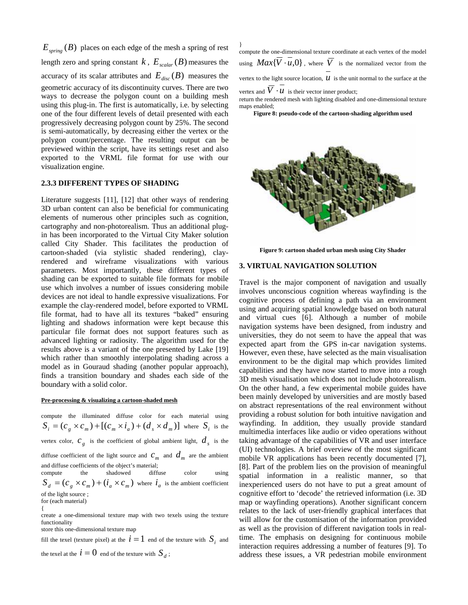$E_{\text{spring}}(B)$  places on each edge of the mesh a spring of rest length zero and spring constant  $k$  ,  $E_{\textit{scalar}}(B)$  measures the accuracy of its scalar attributes and  $E_{disc}(B)$  measures the geometric accuracy of its discontinuity curves. There are two ways to decrease the polygon count on a building mesh using this plug-in. The first is automatically, i.e. by selecting one of the four different levels of detail presented with each progressively decreasing polygon count by 25%. The second is semi-automatically, by decreasing either the vertex or the polygon count/percentage. The resulting output can be previewed within the script, have its settings reset and also exported to the VRML file format for use with our visualization engine.

#### **2.3.3 DIFFERENT TYPES OF SHADING**

Literature suggests [11], [12] that other ways of rendering 3D urban content can also be beneficial for communicating elements of numerous other principles such as cognition, cartography and non-photorealism. Thus an additional plugin has been incorporated to the Virtual City Maker solution called City Shader. This facilitates the production of cartoon-shaded (via stylistic shaded rendering), clayrendered and wireframe visualizations with various parameters. Most importantly, these different types of shading can be exported to suitable file formats for mobile use which involves a number of issues considering mobile devices are not ideal to handle expressive visualizations. For example the clay-rendered model, before exported to VRML file format, had to have all its textures "baked" ensuring lighting and shadows information were kept because this particular file format does not support features such as advanced lighting or radiosity. The algorithm used for the results above is a variant of the one presented by Lake [19] which rather than smoothly interpolating shading across a model as in Gouraud shading (another popular approach), finds a transition boundary and shades each side of the boundary with a solid color.

#### **Pre-processing & visualizing a cartoon-shaded mesh**

compute the illuminated diffuse color for each material using  $S_i = (c_g \times c_m) + [(c_m \times i_a) + (d_s \times d_m)]$  where  $S_i$  is the vertex color,  $c_g$  is the coefficient of global ambient light,  $d_s$  is the diffuse coefficient of the light source and  $c_m$  and  $d_m$  are the ambient and diffuse coefficients of the object's material; compute the shadowed diffuse color using

 $S_d = (c_g \times c_m) + (i_a \times c_m)$  where  $i_a$  is the ambient coefficient of the light source ;

{

create a one-dimensional texture map with two texels using the texture functionality

store this one-dimensional texture map

fill the texel (texture pixel) at the  $i = 1$  end of the texture with  $S_i$  and

the texel at the  $i = 0$  end of the texture with  $S_d$ ;

} compute the one-dimensional texture coordinate at each vertex of the model using  $Max{V \cdot u, 0}$ , where  $\overline{V}$  is the normalized vector from the vertex to the light source location,  $\overline{u}$  is the unit normal to the surface at the vertex and  $V \cdot u$  is their vector inner product;

return the rendered mesh with lighting disabled and one-dimensional texture

maps enabled; **Figure 8: pseudo-code of the cartoon-shading algorithm used** 



**Figure 9: cartoon shaded urban mesh using City Shader** 

#### **3. VIRTUAL NAVIGATION SOLUTION**

Travel is the major component of navigation and usually involves unconscious cognition whereas wayfinding is the cognitive process of defining a path via an environment using and acquiring spatial knowledge based on both natural and virtual cues [6]. Although a number of mobile navigation systems have been designed, from industry and universities, they do not seem to have the appeal that was expected apart from the GPS in-car navigation systems. However, even these, have selected as the main visualisation environment to be the digital map which provides limited capabilities and they have now started to move into a rough 3D mesh visualisation which does not include photorealism. On the other hand, a few experimental mobile guides have been mainly developed by universities and are mostly based on abstract representations of the real environment without providing a robust solution for both intuitive navigation and wayfinding. In addition, they usually provide standard multimedia interfaces like audio or video operations without taking advantage of the capabilities of VR and user interface (UI) technologies. A brief overview of the most significant mobile VR applications has been recently documented [7], [8]. Part of the problem lies on the provision of meaningful spatial information in a realistic manner, so that inexperienced users do not have to put a great amount of cognitive effort to 'decode' the retrieved information (i.e. 3D map or wayfinding operations). Another significant concern relates to the lack of user-friendly graphical interfaces that will allow for the customisation of the information provided as well as the provision of different navigation tools in realtime. The emphasis on designing for continuous mobile interaction requires addressing a number of features [9]. To address these issues, a VR pedestrian mobile environment

for (each material)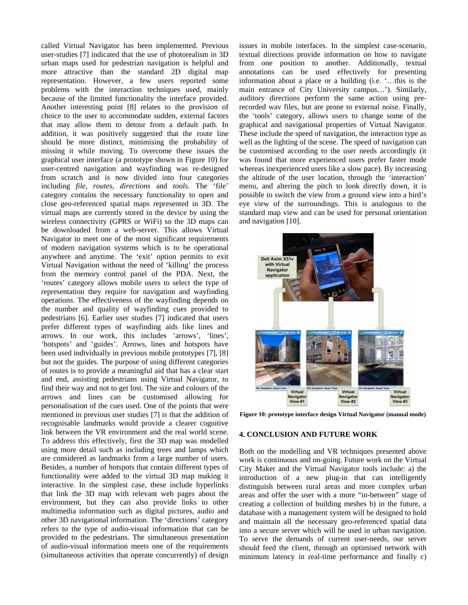called Virtual Navigator has been implemented. Previous user-studies [7] indicated that the use of photorealism in 3D urban maps used for pedestrian navigation is helpful and more attractive than the standard 2D digital map representation. However, a few users reported some problems with the interaction techniques used, mainly because of the limited functionality the interface provided. Another interesting point [8] relates to the provision of choice to the user to accommodate sudden, external factors that may allow them to detour from a default path. In addition, it was positively suggested that the route line should be more distinct, minimising the probability of missing it while moving. To overcome these issues the graphical user interface (a prototype shown in Figure 10) for user-centred navigation and wayfinding was re-designed from scratch and is now divided into four categories including *file*, *routes*, *directions* and *tools*. The 'file' category contains the necessary functionality to open and close geo-referenced spatial maps represented in 3D. The virtual maps are currently stored in the device by using the wireless connectivity (GPRS or WiFi) so the 3D maps can be downloaded from a web-server. This allows Virtual Navigator to meet one of the most significant requirements of modern navigation systems which is to be operational anywhere and anytime. The 'exit' option permits to exit Virtual Navigation without the need of 'killing' the process from the memory control panel of the PDA. Next, the 'routes' category allows mobile users to select the type of representation they require for navigation and wayfinding operations. The effectiveness of the wayfinding depends on the number and quality of wayfinding cues provided to pedestrians [6]. Earlier user studies [7] indicated that users prefer different types of wayfinding aids like lines and arrows. In our work, this includes 'arrows', 'lines', 'hotspots' and 'guides'. Arrows, lines and hotspots have been used individually in previous mobile prototypes [7], [8] but not the guides. The purpose of using different categories of routes is to provide a meaningful aid that has a clear start and end, assisting pedestrians using Virtual Navigator, to find their way and not to get lost. The size and colours of the arrows and lines can be customised allowing for personalisation of the cues used. One of the points that were mentioned in previous user studies [7] is that the addition of recognisable landmarks would provide a clearer cognitive link between the VR environment and the real world scene. To address this effectively, first the 3D map was modelled using more detail such as including trees and lamps which are considered as landmarks from a large number of users. Besides, a number of hotspots that contain different types of functionality were added to the virtual 3D map making it interactive. In the simplest case, these include hyperlinks that link the 3D map with relevant web pages about the environment, but they can also provide links to other multimedia information such as digital pictures, audio and other 3D navigational information. The 'directions' category refers to the type of audio-visual information that can be provided to the pedestrians. The simultaneous presentation of audio-visual information meets one of the requirements (simultaneous activities that operate concurrently) of design

issues in mobile interfaces. In the simplest case-scenario, textual directions provide information on how to navigate from one position to another. Additionally, textual annotations can be used effectively for presenting information about a place or a building (i.e. '…this is the main entrance of City University campus…'). Similarly, auditory directions perform the same action using prerecorded wav files, but are prone to external noise. Finally, the 'tools' category, allows users to change some of the graphical and navigational properties of Virtual Navigator. These include the speed of navigation, the interaction type as well as the lighting of the scene. The speed of navigation can be customised according to the user needs accordingly (it was found that more experienced users prefer faster mode whereas inexperienced users like a slow pace). By increasing the altitude of the user location, through the 'interaction' menu, and altering the pitch to look directly down, it is possible to switch the view from a ground view into a bird's eye view of the surroundings. This is analogous to the standard map view and can be used for personal orientation and navigation [10].



**Figure 10: prototype interface design Virtual Navigator (manual mode)**

#### **4. CONCLUSION AND FUTURE WORK**

Both on the modelling and VR techniques presented above work is continuous and on-going. Future work on the Virtual City Maker and the Virtual Navigator tools include: a) the introduction of a new plug-in that can intelligently distinguish between rural areas and more complex urban areas and offer the user with a more "in-between" stage of creating a collection of building meshes b) in the future, a database with a management system will be designed to hold and maintain all the necessary geo-referenced spatial data into a secure server which will be used in urban navigation. To serve the demands of current user-needs, our server should feed the client, through an optimised network with minimum latency in real-time performance and finally c)